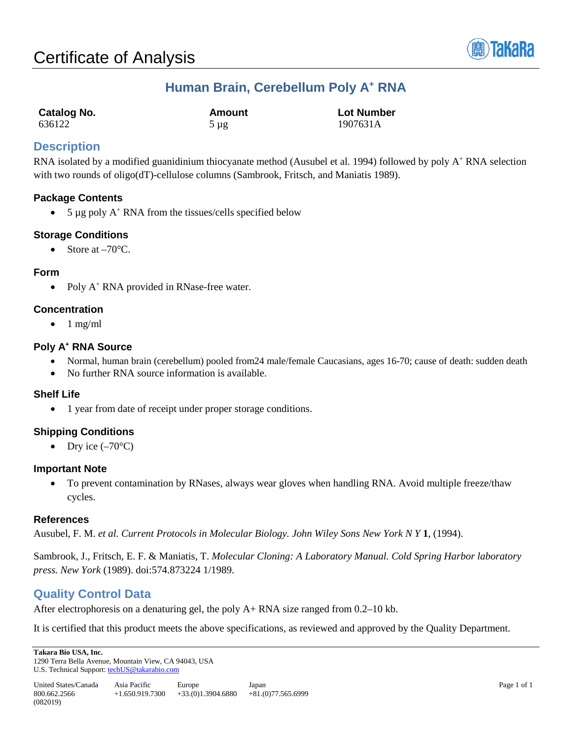

# **Human Brain, Cerebellum Poly A+ RNA**

| Catalog No. | Amount    | <b>Lot Number</b> |
|-------------|-----------|-------------------|
| 636122      | $5 \mu g$ | 1907631A          |

## **Description**

RNA isolated by a modified guanidinium thiocyanate method (Ausubel et al. 1994) followed by poly A<sup>+</sup> RNA selection with two rounds of oligo(dT)-cellulose columns (Sambrook, Fritsch, and Maniatis 1989).

### **Package Contents**

• 5  $\mu$ g poly A<sup>+</sup> RNA from the tissues/cells specified below

### **Storage Conditions**

• Store at  $-70^{\circ}$ C.

#### **Form**

• Poly A<sup>+</sup> RNA provided in RNase-free water.

#### **Concentration**

 $\bullet$  1 mg/ml

### **Poly A+ RNA Source**

- Normal, human brain (cerebellum) pooled from 24 male/female Caucasians, ages 16-70; cause of death: sudden death
- No further RNA source information is available.

#### **Shelf Life**

• 1 year from date of receipt under proper storage conditions.

#### **Shipping Conditions**

• Dry ice  $(-70^{\circ}C)$ 

#### **Important Note**

• To prevent contamination by RNases, always wear gloves when handling RNA. Avoid multiple freeze/thaw cycles.

#### **References**

Ausubel, F. M. *et al. Current Protocols in Molecular Biology. John Wiley Sons New York N Y* **1**, (1994).

Sambrook, J., Fritsch, E. F. & Maniatis, T. *Molecular Cloning: A Laboratory Manual. Cold Spring Harbor laboratory press. New York* (1989). doi:574.873224 1/1989.

## **Quality Control Data**

After electrophoresis on a denaturing gel, the poly A+ RNA size ranged from 0.2–10 kb.

It is certified that this product meets the above specifications, as reviewed and approved by the Quality Department.

**Takara Bio USA, Inc.**  1290 Terra Bella Avenue, Mountain View, CA 94043, USA U.S. Technical Support[: techUS@takarabio.com](mailto:techUS@takarabio.com)